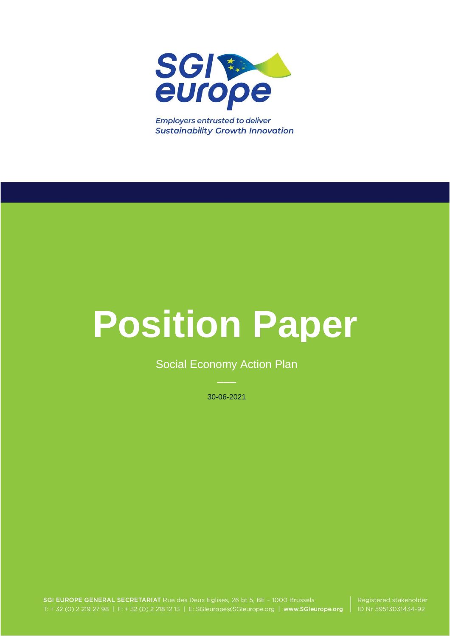

**Employers entrusted to deliver Sustainability Growth Innovation** 

# **Position Paper**

Social Economy Action Plan

30-06-2021

SGI EUROPE GENERAL SECRETARIAT Rue des Deux Eglises, 26 bt 5, BE - 1000 Brussels T: + 32 (0) 2 219 27 98 | F: + 32 (0) 2 218 12 13 | E: SGleurope@SGleurope.org | www.SGleurope.org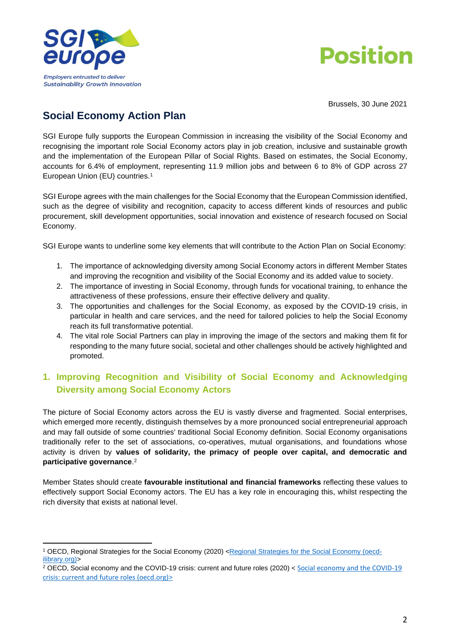



Brussels, 30 June 2021

# **Social Economy Action Plan**

SGI Europe fully supports the European Commission in increasing the visibility of the Social Economy and recognising the important role Social Economy actors play in job creation, inclusive and sustainable growth and the implementation of the European Pillar of Social Rights. Based on estimates, the Social Economy, accounts for 6.4% of employment, representing 11.9 million jobs and between 6 to 8% of GDP across 27 European Union (EU) countries.<sup>1</sup>

SGI Europe agrees with the main challenges for the Social Economy that the European Commission identified, such as the degree of visibility and recognition, capacity to access different kinds of resources and public procurement, skill development opportunities, social innovation and existence of research focused on Social Economy.

SGI Europe wants to underline some key elements that will contribute to the Action Plan on Social Economy:

- 1. The importance of acknowledging diversity among Social Economy actors in different Member States and improving the recognition and visibility of the Social Economy and its added value to society.
- 2. The importance of investing in Social Economy, through funds for vocational training, to enhance the attractiveness of these professions, ensure their effective delivery and quality.
- 3. The opportunities and challenges for the Social Economy, as exposed by the COVID-19 crisis, in particular in health and care services, and the need for tailored policies to help the Social Economy reach its full transformative potential.
- 4. The vital role Social Partners can play in improving the image of the sectors and making them fit for responding to the many future social, societal and other challenges should be actively highlighted and promoted.

### **1. Improving Recognition and Visibility of Social Economy and Acknowledging Diversity among Social Economy Actors**

The picture of Social Economy actors across the EU is vastly diverse and fragmented. Social enterprises, which emerged more recently, distinguish themselves by a more pronounced social entrepreneurial approach and may fall outside of some countries' traditional Social Economy definition. Social Economy organisations traditionally refer to the set of associations, co-operatives, mutual organisations, and foundations whose activity is driven by **values of solidarity, the primacy of people over capital, and democratic and participative governance**. 2

Member States should create **favourable institutional and financial frameworks** reflecting these values to effectively support Social Economy actors. The EU has a key role in encouraging this, whilst respecting the rich diversity that exists at national level.

<sup>1</sup> OECD, [Regional Strategies for the Social Economy](https://www.oecd-ilibrary.org/docserver/76995b39-en.pdf?expires=1624285402&id=id&accname=guest&checksum=649A23AAB4F2E2AD2E3B048A38D83015) (2020) [<Regional Strategies for the Social Economy \(oecd](https://www.oecd-ilibrary.org/docserver/76995b39-en.pdf?expires=1624285402&id=id&accname=guest&checksum=649A23AAB4F2E2AD2E3B048A38D83015)[ilibrary.org\)>](https://www.oecd-ilibrary.org/docserver/76995b39-en.pdf?expires=1624285402&id=id&accname=guest&checksum=649A23AAB4F2E2AD2E3B048A38D83015)

<sup>2</sup> OECD, Social economy and the COVID-19 crisis: current and future roles (2020) < [Social economy and the COVID-19](https://www.oecd.org/coronavirus/policy-responses/social-economy-and-the-covid-19-crisis-current-and-future-roles-f904b89f/)  [crisis: current and future roles \(oecd.org\)](https://www.oecd.org/coronavirus/policy-responses/social-economy-and-the-covid-19-crisis-current-and-future-roles-f904b89f/)>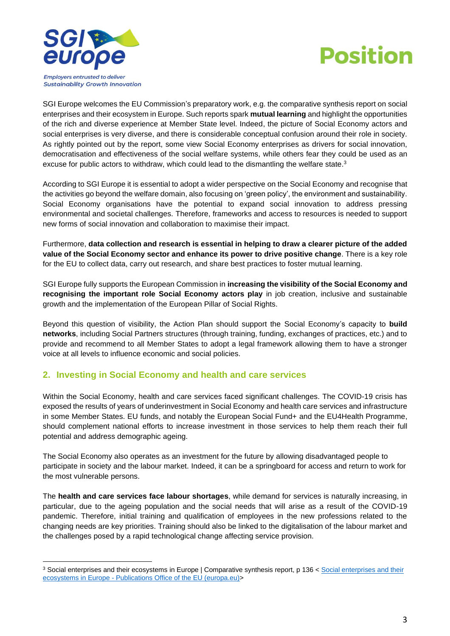



SGI Europe welcomes the EU Commission's preparatory work, e.g. the comparative synthesis report on social enterprises and their ecosystem in Europe. Such reports spark **mutual learning** and highlight the opportunities of the rich and diverse experience at Member State level. Indeed, the picture of Social Economy actors and social enterprises is very diverse, and there is considerable conceptual confusion around their role in society. As rightly pointed out by the report, some view Social Economy enterprises as drivers for social innovation, democratisation and effectiveness of the social welfare systems, while others fear they could be used as an excuse for public actors to withdraw, which could lead to the dismantling the welfare state. $^3$ 

According to SGI Europe it is essential to adopt a wider perspective on the Social Economy and recognise that the activities go beyond the welfare domain, also focusing on 'green policy', the environment and sustainability. Social Economy organisations have the potential to expand social innovation to address pressing environmental and societal challenges. Therefore, frameworks and access to resources is needed to support new forms of social innovation and collaboration to maximise their impact.

Furthermore, **data collection and research is essential in helping to draw a clearer picture of the added value of the Social Economy sector and enhance its power to drive positive change**. There is a key role for the EU to collect data, carry out research, and share best practices to foster mutual learning.

SGI Europe fully supports the European Commission in **increasing the visibility of the Social Economy and recognising the important role Social Economy actors play** in job creation, inclusive and sustainable growth and the implementation of the European Pillar of Social Rights.

Beyond this question of visibility, the Action Plan should support the Social Economy's capacity to **build networks**, including Social Partners structures (through training, funding, exchanges of practices, etc.) and to provide and recommend to all Member States to adopt a legal framework allowing them to have a stronger voice at all levels to influence economic and social policies.

#### **2. Investing in Social Economy and health and care services**

Within the Social Economy, health and care services faced significant challenges. The COVID-19 crisis has exposed the results of years of underinvestment in Social Economy and health care services and infrastructure in some Member States. EU funds, and notably the European Social Fund+ and the EU4Health Programme, should complement national efforts to increase investment in those services to help them reach their full potential and address demographic ageing.

The Social Economy also operates as an investment for the future by allowing disadvantaged people to participate in society and the labour market. Indeed, it can be a springboard for access and return to work for the most vulnerable persons.

The **health and care services face labour shortages**, while demand for services is naturally increasing, in particular, due to the ageing population and the social needs that will arise as a result of the COVID-19 pandemic. Therefore, initial training and qualification of employees in the new professions related to the changing needs are key priorities. Training should also be linked to the digitalisation of the labour market and the challenges posed by a rapid technological change affecting service provision.

<sup>3</sup> Social enterprises and their ecosystems in Europe | Comparative synthesis report, p 136 < [Social enterprises and their](https://op.europa.eu/en/publication-detail/-/publication/4985a489-73ed-11ea-a07e-01aa75ed71a1/language-en/format-PDF/source-123378057)  ecosystems in Europe - [Publications Office of the EU \(europa.eu\)>](https://op.europa.eu/en/publication-detail/-/publication/4985a489-73ed-11ea-a07e-01aa75ed71a1/language-en/format-PDF/source-123378057)